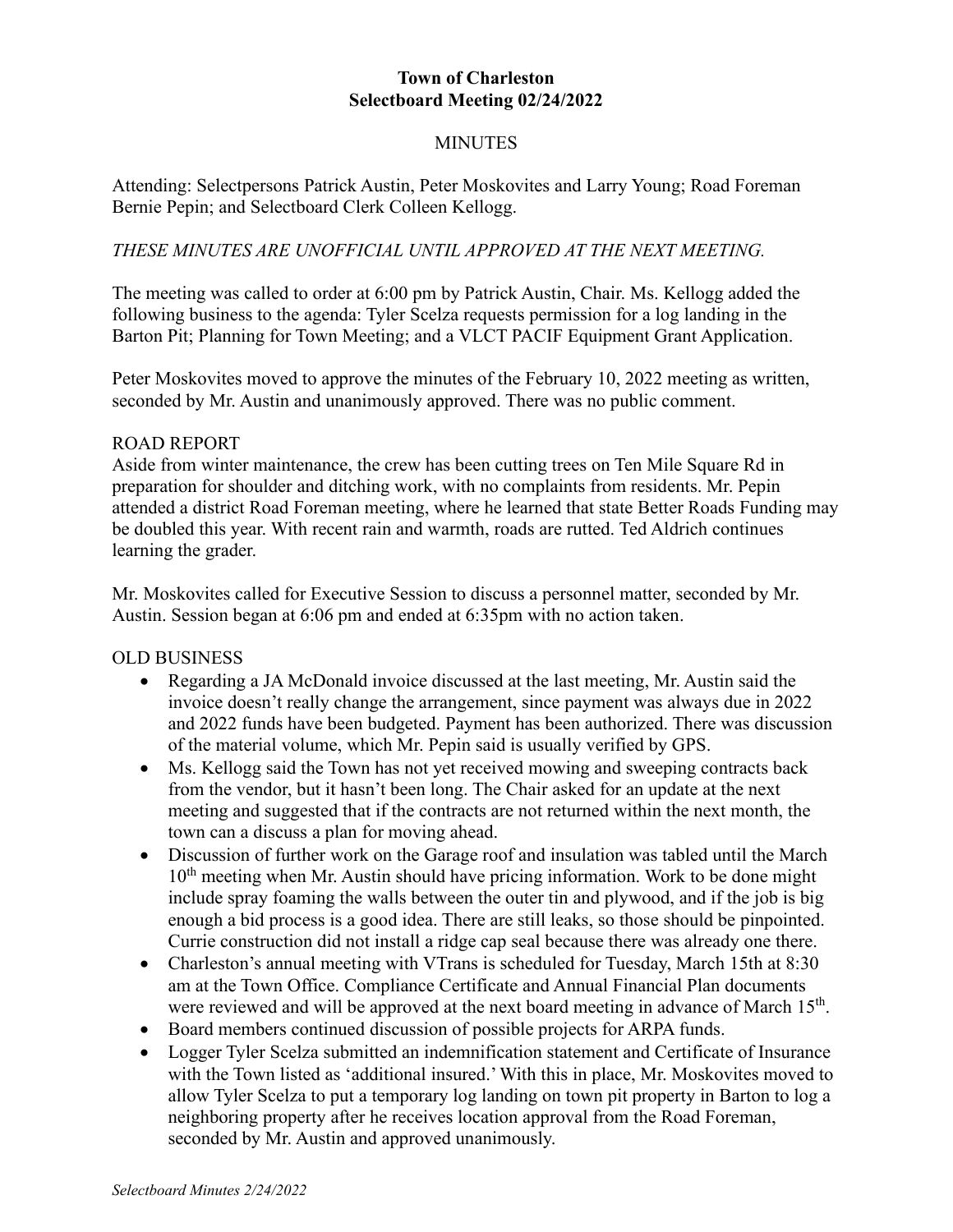## **Town of Charleston Selectboard Meeting 02/24/2022**

# MINUTES

Attending: Selectpersons Patrick Austin, Peter Moskovites and Larry Young; Road Foreman Bernie Pepin; and Selectboard Clerk Colleen Kellogg.

### *THESE MINUTES ARE UNOFFICIAL UNTIL APPROVED AT THE NEXT MEETING.*

The meeting was called to order at 6:00 pm by Patrick Austin, Chair. Ms. Kellogg added the following business to the agenda: Tyler Scelza requests permission for a log landing in the Barton Pit; Planning for Town Meeting; and a VLCT PACIF Equipment Grant Application.

Peter Moskovites moved to approve the minutes of the February 10, 2022 meeting as written, seconded by Mr. Austin and unanimously approved. There was no public comment.

#### ROAD REPORT

Aside from winter maintenance, the crew has been cutting trees on Ten Mile Square Rd in preparation for shoulder and ditching work, with no complaints from residents. Mr. Pepin attended a district Road Foreman meeting, where he learned that state Better Roads Funding may be doubled this year. With recent rain and warmth, roads are rutted. Ted Aldrich continues learning the grader.

Mr. Moskovites called for Executive Session to discuss a personnel matter, seconded by Mr. Austin. Session began at 6:06 pm and ended at 6:35pm with no action taken.

### OLD BUSINESS

- Regarding a JA McDonald invoice discussed at the last meeting, Mr. Austin said the invoice doesn't really change the arrangement, since payment was always due in 2022 and 2022 funds have been budgeted. Payment has been authorized. There was discussion of the material volume, which Mr. Pepin said is usually verified by GPS.
- Ms. Kellogg said the Town has not yet received mowing and sweeping contracts back from the vendor, but it hasn't been long. The Chair asked for an update at the next meeting and suggested that if the contracts are not returned within the next month, the town can a discuss a plan for moving ahead.
- Discussion of further work on the Garage roof and insulation was tabled until the March  $10<sup>th</sup>$  meeting when Mr. Austin should have pricing information. Work to be done might include spray foaming the walls between the outer tin and plywood, and if the job is big enough a bid process is a good idea. There are still leaks, so those should be pinpointed. Currie construction did not install a ridge cap seal because there was already one there.
- Charleston's annual meeting with VTrans is scheduled for Tuesday, March 15th at 8:30 am at the Town Office. Compliance Certificate and Annual Financial Plan documents were reviewed and will be approved at the next board meeting in advance of March 15<sup>th</sup>.
- Board members continued discussion of possible projects for ARPA funds.
- Logger Tyler Scelza submitted an indemnification statement and Certificate of Insurance with the Town listed as 'additional insured.'With this in place, Mr. Moskovites moved to allow Tyler Scelza to put a temporary log landing on town pit property in Barton to log a neighboring property after he receives location approval from the Road Foreman, seconded by Mr. Austin and approved unanimously.